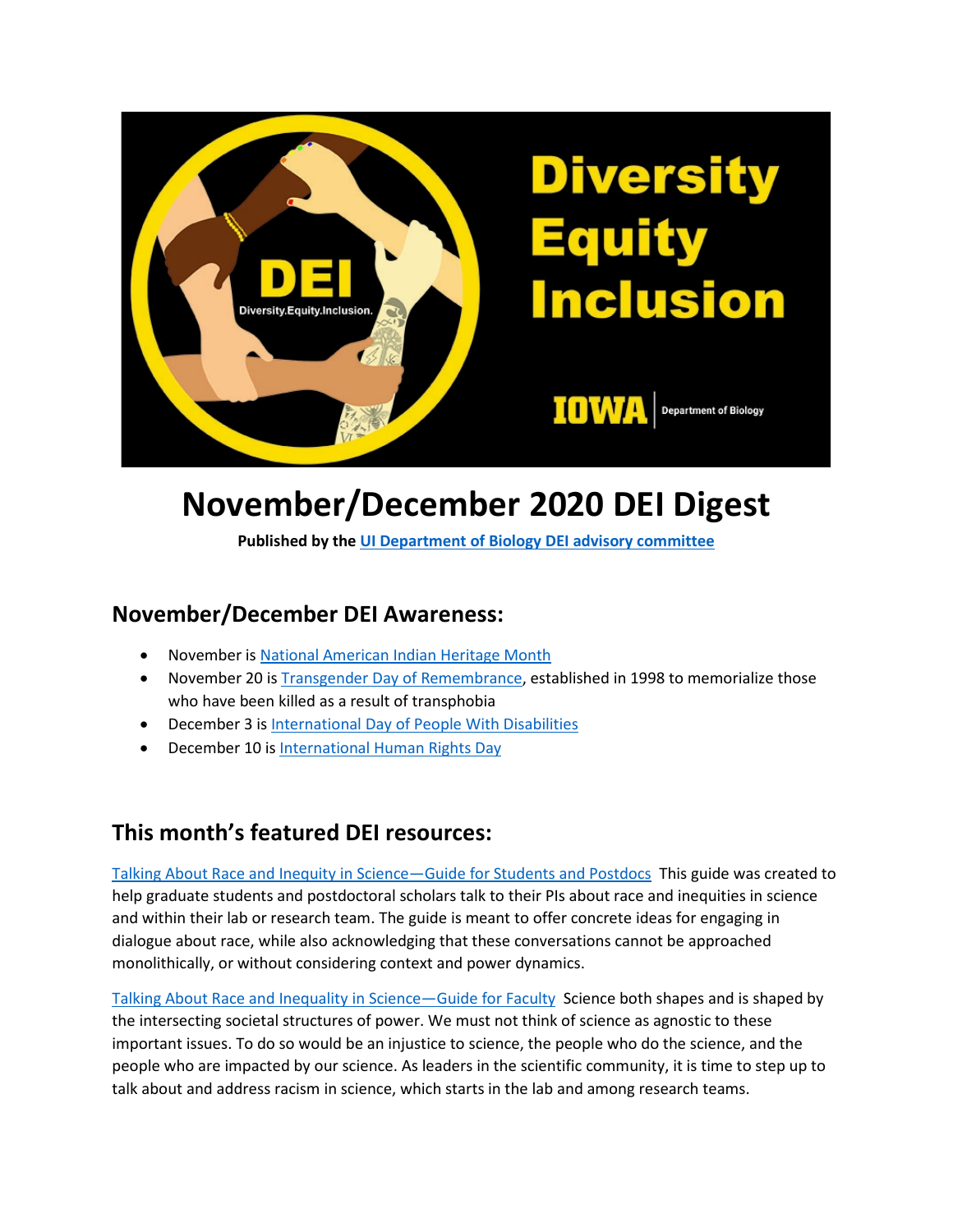

# **November/December 2020 DEI Digest**

**Published by th[e UI Department of Biology DEI advisory committee](https://biology.uiowa.edu/about/diversity-equity-and-inclusion)**

#### **November/December DEI Awareness:**

- November is [National American Indian Heritage Month](https://nativeamericanheritagemonth.gov/)
- November 20 i[s Transgender Day of Remembrance,](https://www.glaad.org/tdor) established in 1998 to memorialize those who have been killed as a result of transphobia
- December 3 is [International Day of People With Disabilities](https://idpwd.org/)
- December 10 is [International Human Rights Day](https://www.un.org/en/observances/human-rights-day)

#### **This month's featured DEI resources:**

[Talking About Race and Inequity in Science—Guide for Students and Postdocs](https://graduate.ucsf.edu/student-racism-dialogue) This guide was created to help graduate students and postdoctoral scholars talk to their PIs about race and inequities in science and within their lab or research team. The guide is meant to offer concrete ideas for engaging in dialogue about race, while also acknowledging that these conversations cannot be approached monolithically, or without considering context and power dynamics.

[Talking About Race and Inequality in Science—Guide for Faculty](https://mentoring.ucsf.edu/faculty-racism-dialogue) Science both shapes and is shaped by the intersecting societal structures of power. We must not think of science as agnostic to these important issues. To do so would be an injustice to science, the people who do the science, and the people who are impacted by our science. As leaders in the scientific community, it is time to step up to talk about and address racism in science, which starts in the lab and among research teams.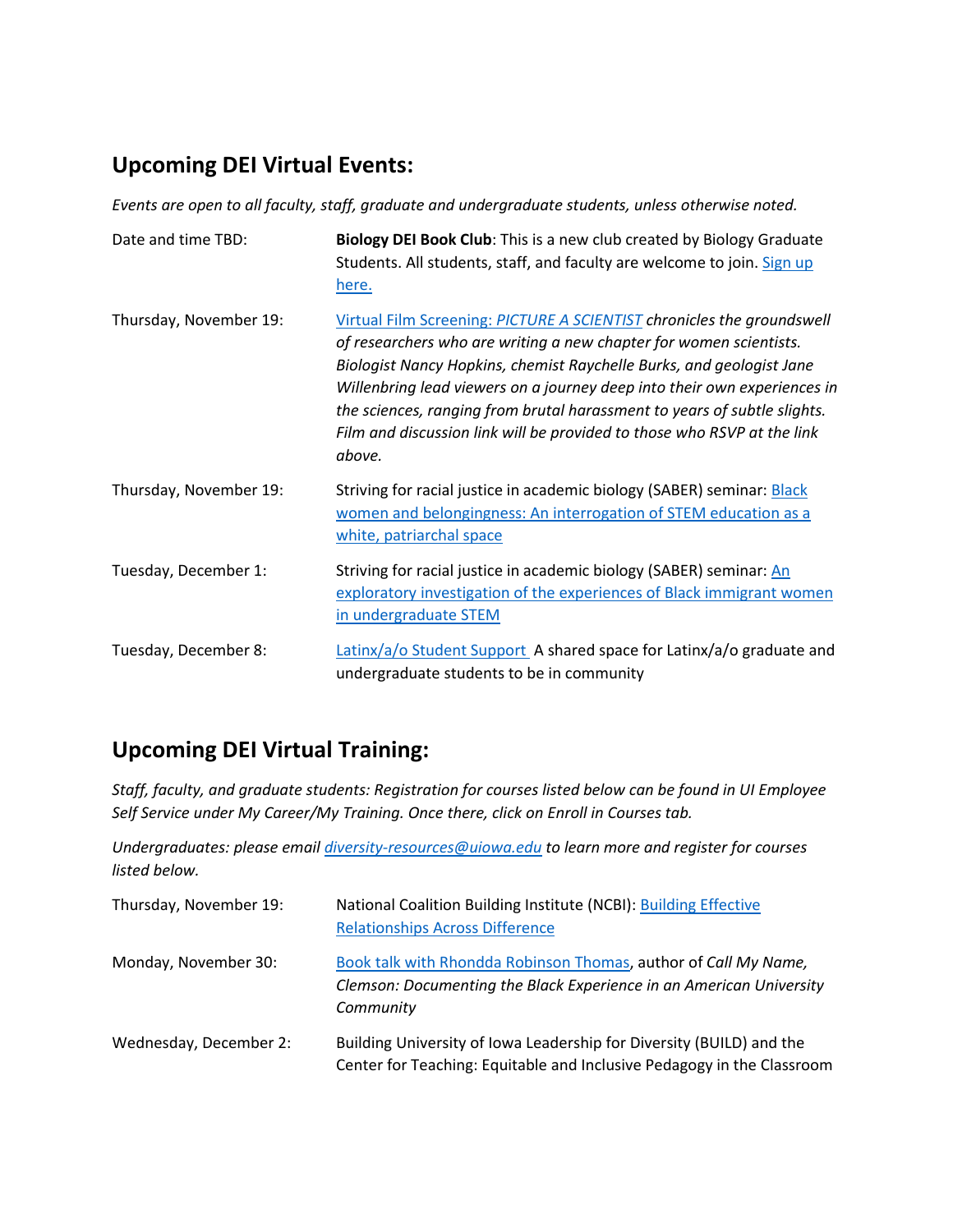## **Upcoming DEI Virtual Events:**

*Events are open to all faculty, staff, graduate and undergraduate students, unless otherwise noted.*

| Date and time TBD:     | Biology DEI Book Club: This is a new club created by Biology Graduate<br>Students. All students, staff, and faculty are welcome to join. Sign up<br>here.                                                                                                                                                                                                                                                                                                         |
|------------------------|-------------------------------------------------------------------------------------------------------------------------------------------------------------------------------------------------------------------------------------------------------------------------------------------------------------------------------------------------------------------------------------------------------------------------------------------------------------------|
| Thursday, November 19: | Virtual Film Screening: PICTURE A SCIENTIST chronicles the groundswell<br>of researchers who are writing a new chapter for women scientists.<br>Biologist Nancy Hopkins, chemist Raychelle Burks, and geologist Jane<br>Willenbring lead viewers on a journey deep into their own experiences in<br>the sciences, ranging from brutal harassment to years of subtle slights.<br>Film and discussion link will be provided to those who RSVP at the link<br>above. |
| Thursday, November 19: | Striving for racial justice in academic biology (SABER) seminar: <b>Black</b><br>women and belongingness: An interrogation of STEM education as a<br>white, patriarchal space                                                                                                                                                                                                                                                                                     |
| Tuesday, December 1:   | Striving for racial justice in academic biology (SABER) seminar: An<br>exploratory investigation of the experiences of Black immigrant women<br>in undergraduate STEM                                                                                                                                                                                                                                                                                             |
| Tuesday, December 8:   | Latinx/a/o Student Support A shared space for Latinx/a/o graduate and<br>undergraduate students to be in community                                                                                                                                                                                                                                                                                                                                                |

### **Upcoming DEI Virtual Training:**

*Staff, faculty, and graduate students: Registration for courses listed below can be found in UI Employee Self Service under My Career/My Training. Once there, click on Enroll in Courses tab.*

*Undergraduates: please email [diversity-resources@uiowa.edu](mailto:diversity-resources@uiowa.edu) to learn more and register for courses listed below.* 

| Thursday, November 19: | National Coalition Building Institute (NCBI): Building Effective<br><b>Relationships Across Difference</b>                                          |
|------------------------|-----------------------------------------------------------------------------------------------------------------------------------------------------|
| Monday, November 30:   | Book talk with Rhondda Robinson Thomas, author of Call My Name,<br>Clemson: Documenting the Black Experience in an American University<br>Community |
| Wednesday, December 2: | Building University of Iowa Leadership for Diversity (BUILD) and the<br>Center for Teaching: Equitable and Inclusive Pedagogy in the Classroom      |